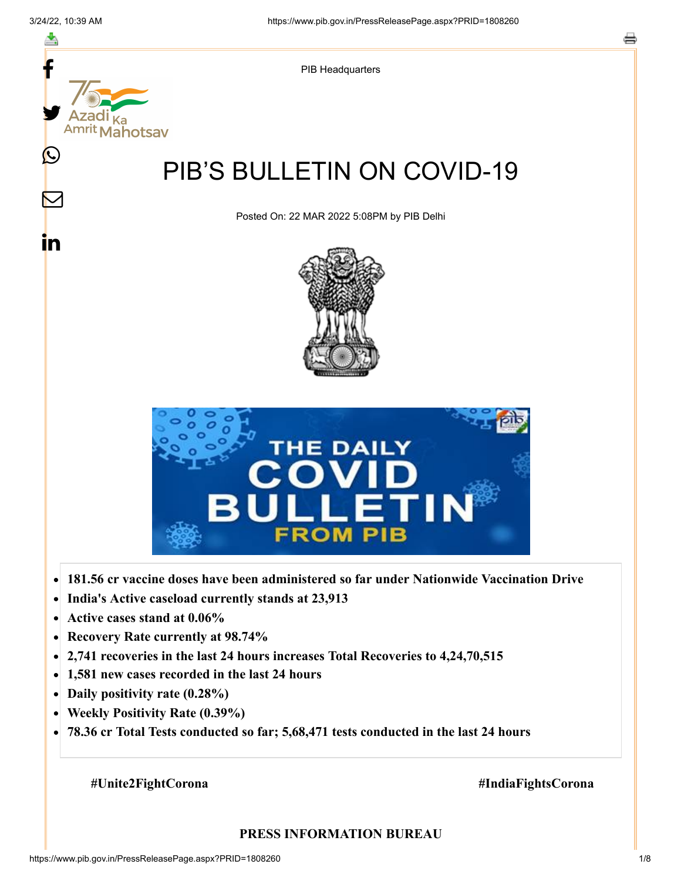

- **Active cases stand at 0.06%**  $\bullet$
- **Recovery Rate currently at 98.74%**  $\bullet$
- **2,741 recoveries in the last 24 hours increases Total Recoveries to 4,24,70,515**  $\bullet$
- **1,581 new cases recorded in the last 24 hours**  $\bullet$
- **Daily positivity rate (0.28%)**
- **Weekly Positivity Rate (0.39%)**  $\bullet$
- **78.36 cr Total Tests conducted so far; 5,68,471 tests conducted in the last 24 hours**  $\bullet$

**#Unite2FightCorona #IndiaFightsCorona**

#### **PRESS INFORMATION BUREAU**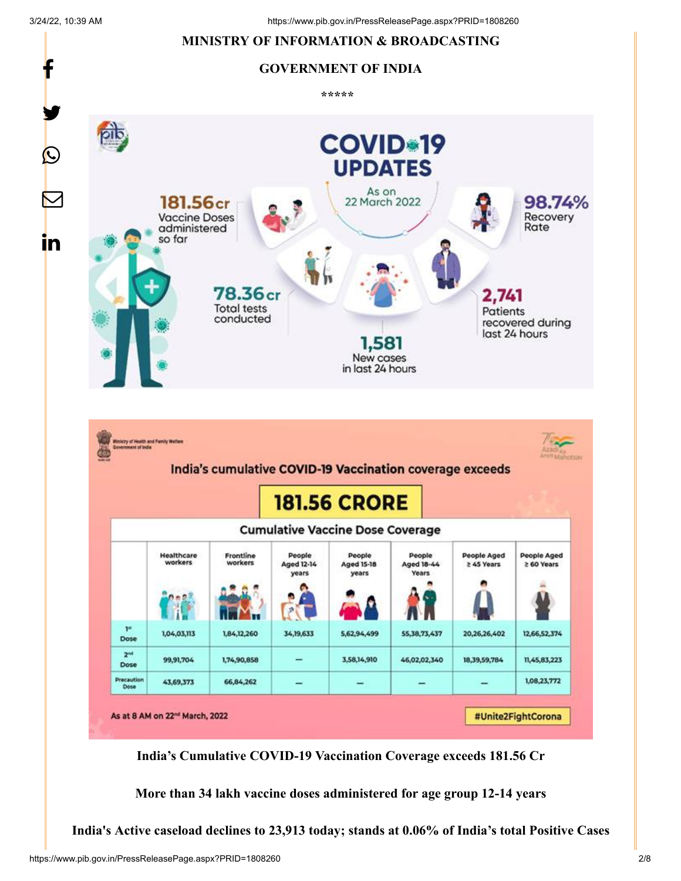#### 3/24/22, 10:39 AM https://www.pib.gov.in/PressReleasePage.aspx?PRID=1808260 **MINISTRY OF INFORMATION & BROADCASTING** f **GOVERNMENT OF INDIA \*\*\*\*\***  y. **COVID-19**  $\bigcirc$ **UPDATES** As on  $\bm{\nabla}$ 181.56<sub>cr</sub> 22 March 2022 98.74% Recovery **Vaccine Doses** Rate administered so far <u>in</u>  $78.36<sub>cr</sub>$ 2,741 **Total tests** Patients conducted recovered during last 24 hours New cases in last 24 hours



**India's Cumulative COVID-19 Vaccination Coverage exceeds 181.56 Cr**

**More than 34 lakh vaccine doses administered for age group 12-14 years**

**India's Active caseload declines to 23,913 today; stands at 0.06% of India's total Positive Cases**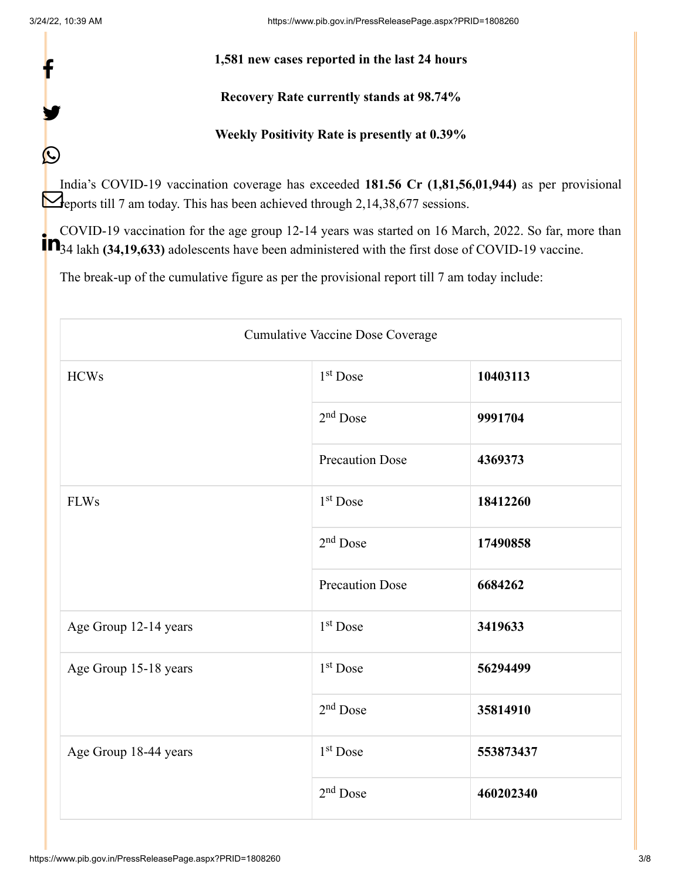f

y.

 $\bigcirc$ 

3/24/22, 10:39 AM https://www.pib.gov.in/PressReleasePage.aspx?PRID=1808260

## **1,581 new cases reported in the last 24 hours**

# **Recovery Rate currently stands at 98.74%**

# **Weekly Positivity Rate is presently at 0.39%**

India's COVID-19 vaccination coverage has exceeded **181.56 Cr (1,81,56,01,944)** as per provisional **Reports till 7 am today. This has been achieved through 2,14,38,677 sessions.** 

COVID-19 vaccination for the age group 12-14 years was started on 16 March, 2022. So far, more than <sup>1</sup> • <sup>200</sup>34 lakh (34,19,633) adolescents have been administered with the first dose of COVID-19 vaccine.

The break-up of the cumulative figure as per the provisional report till 7 am today include:

| <b>Cumulative Vaccine Dose Coverage</b> |                        |           |  |
|-----------------------------------------|------------------------|-----------|--|
| <b>HCWs</b>                             | 1 <sup>st</sup> Dose   | 10403113  |  |
|                                         | $2nd$ Dose             | 9991704   |  |
|                                         | <b>Precaution Dose</b> | 4369373   |  |
| <b>FLWs</b>                             | 1 <sup>st</sup> Dose   | 18412260  |  |
|                                         | $2nd$ Dose             | 17490858  |  |
|                                         | <b>Precaution Dose</b> | 6684262   |  |
| Age Group 12-14 years                   | 1 <sup>st</sup> Dose   | 3419633   |  |
| Age Group 15-18 years                   | 1 <sup>st</sup> Dose   | 56294499  |  |
|                                         | $2nd$ Dose             | 35814910  |  |
| Age Group 18-44 years                   | $1st$ Dose             | 553873437 |  |
|                                         | $2nd$ Dose             | 460202340 |  |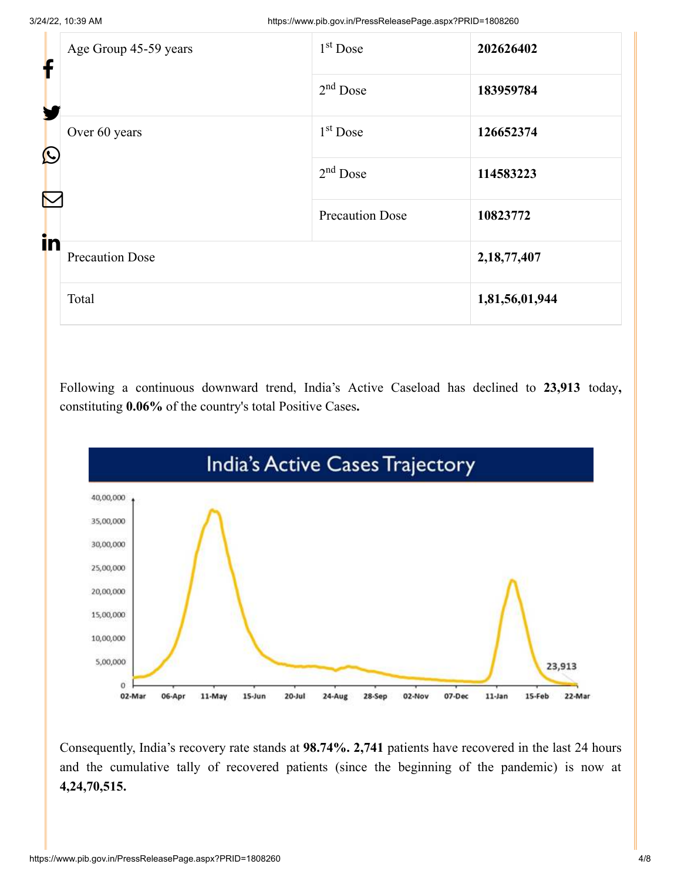| f<br>H | Age Group 45-59 years       | $1st$ Dose             | 202626402      |
|--------|-----------------------------|------------------------|----------------|
|        |                             | $2nd$ Dose             | 183959784      |
|        | Over 60 years<br>$\bigcirc$ | 1 <sup>st</sup> Dose   | 126652374      |
|        |                             | $2nd$ Dose             | 114583223      |
| in     |                             | <b>Precaution Dose</b> | 10823772       |
|        | <b>Precaution Dose</b>      |                        | 2,18,77,407    |
|        | Total                       |                        | 1,81,56,01,944 |

Following a continuous downward trend, India's Active Caseload has declined to **23,913** today**,** constituting **0.06%** of the country's total Positive Cases**.**



Consequently, India's recovery rate stands at **98.74%. 2,741** patients have recovered in the last 24 hours and the cumulative tally of recovered patients (since the beginning of the pandemic) is now at **4,24,70,515.**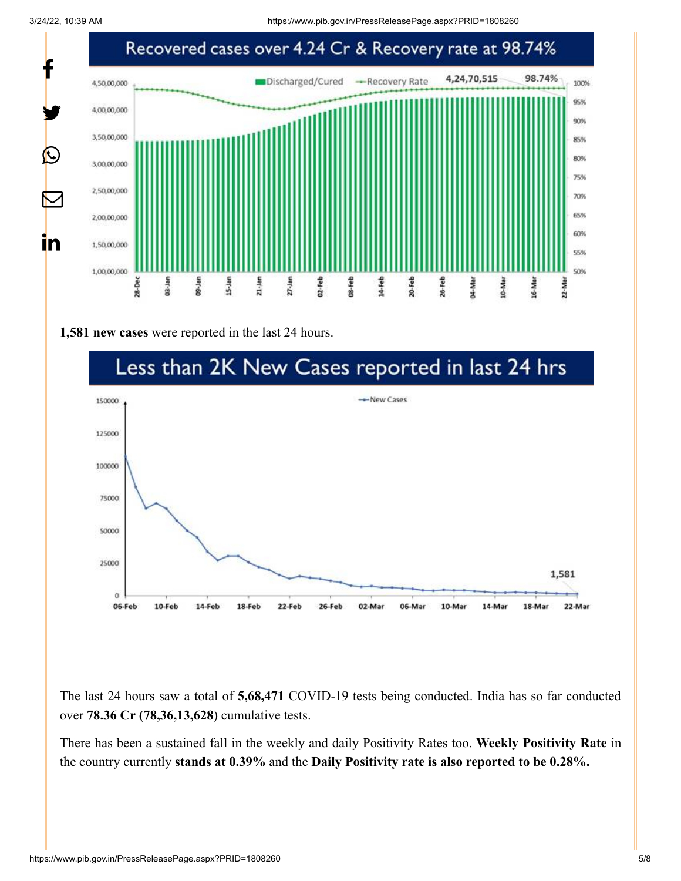3/24/22, 10:39 AM https://www.pib.gov.in/PressReleasePage.aspx?PRID=1808260



**1,581 new cases** were reported in the last 24 hours.



The last 24 hours saw a total of **5,68,471** COVID-19 tests being conducted. India has so far conducted over **78.36 Cr (78,36,13,628**) cumulative tests.

There has been a sustained fall in the weekly and daily Positivity Rates too. **Weekly Positivity Rate** in the country currently **stands at 0.39%** and the **Daily Positivity rate is also reported to be 0.28%.**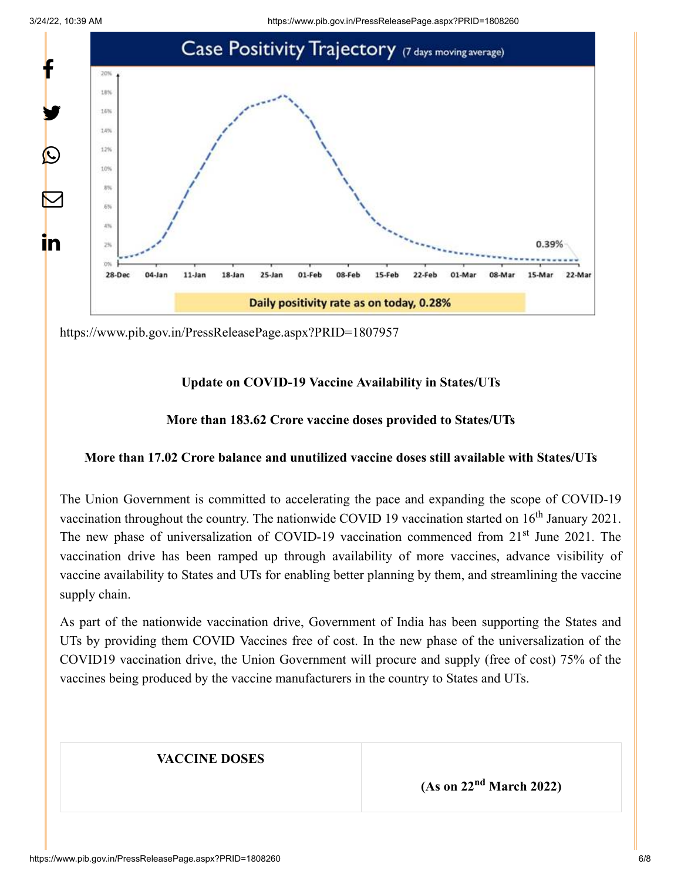

<https://www.pib.gov.in/PressReleasePage.aspx?PRID=1807957>

# **Update on COVID-19 Vaccine Availability in States/UTs**

# **More than 183.62 Crore vaccine doses provided to States/UTs**

## **More than 17.02 Crore balance and unutilized vaccine doses still available with States/UTs**

The Union Government is committed to accelerating the pace and expanding the scope of COVID-19 vaccination throughout the country. The nationwide COVID 19 vaccination started on  $16<sup>th</sup>$  January 2021. The new phase of universalization of COVID-19 vaccination commenced from 21<sup>st</sup> June 2021. The vaccination drive has been ramped up through availability of more vaccines, advance visibility of vaccine availability to States and UTs for enabling better planning by them, and streamlining the vaccine supply chain.

As part of the nationwide vaccination drive, Government of India has been supporting the States and UTs by providing them COVID Vaccines free of cost. In the new phase of the universalization of the COVID19 vaccination drive, the Union Government will procure and supply (free of cost) 75% of the vaccines being produced by the vaccine manufacturers in the country to States and UTs.

# **VACCINE DOSES**

**(As on 22<sup>nd</sup> March 2022)**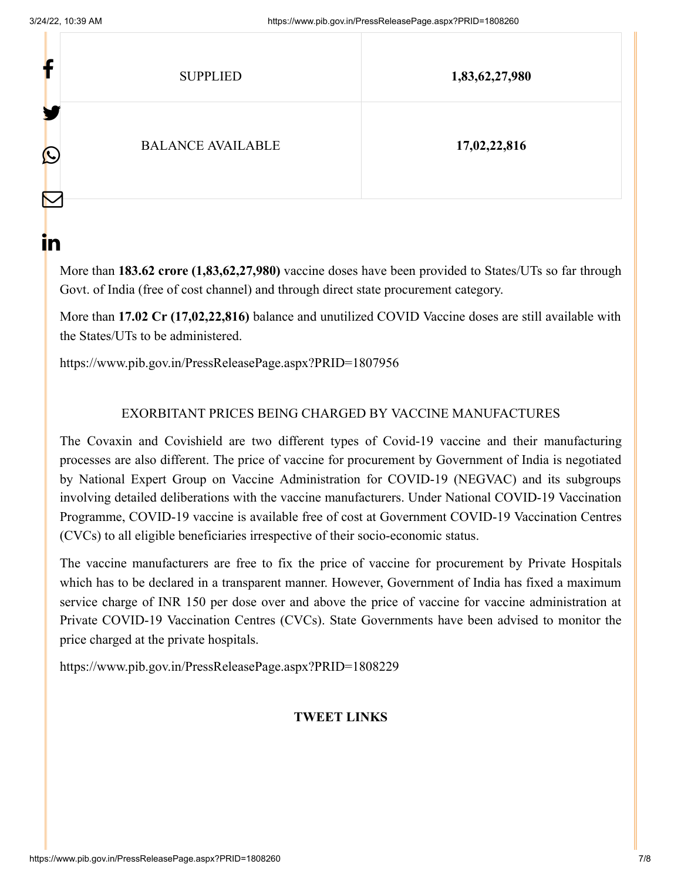| r                 | <b>SUPPLIED</b>          | 1,83,62,27,980 |
|-------------------|--------------------------|----------------|
| ш<br>$\bf \Omega$ | <b>BALANCE AVAILABLE</b> | 17,02,22,816   |

ın

More than **183.62 crore (1,83,62,27,980)** vaccine doses have been provided to States/UTs so far through Govt. of India (free of cost channel) and through direct state procurement category.

More than **17.02 Cr (17,02,22,816)** balance and unutilized COVID Vaccine doses are still available with the States/UTs to be administered.

<https://www.pib.gov.in/PressReleasePage.aspx?PRID=1807956>

# EXORBITANT PRICES BEING CHARGED BY VACCINE MANUFACTURES

The Covaxin and Covishield are two different types of Covid-19 vaccine and their manufacturing processes are also different. The price of vaccine for procurement by Government of India is negotiated by National Expert Group on Vaccine Administration for COVID-19 (NEGVAC) and its subgroups involving detailed deliberations with the vaccine manufacturers. Under National COVID-19 Vaccination Programme, COVID-19 vaccine is available free of cost at Government COVID-19 Vaccination Centres (CVCs) to all eligible beneficiaries irrespective of their socio-economic status.

The vaccine manufacturers are free to fix the price of vaccine for procurement by Private Hospitals which has to be declared in a transparent manner. However, Government of India has fixed a maximum service charge of INR 150 per dose over and above the price of vaccine for vaccine administration at Private COVID-19 Vaccination Centres (CVCs). State Governments have been advised to monitor the price charged at the private hospitals.

<https://www.pib.gov.in/PressReleasePage.aspx?PRID=1808229>

## **TWEET LINKS**